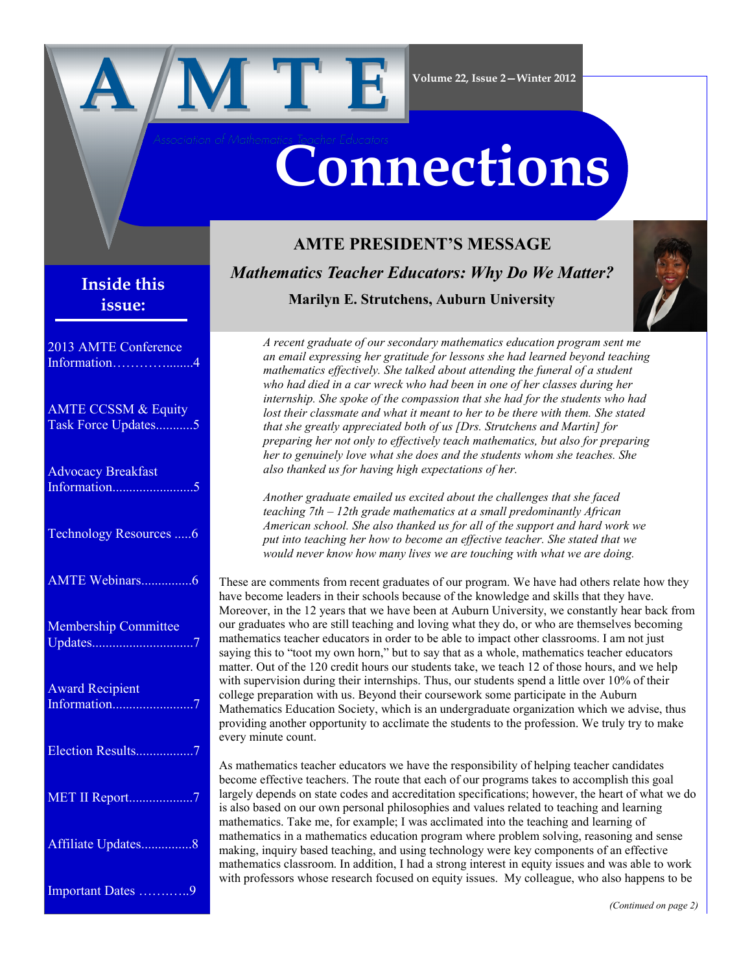

# **Connections**

## **Inside this issue:**

| 2013 AMTE Conference<br>Information        |
|--------------------------------------------|
| AMTE CCSSM & Equity<br>Task Force Updates5 |
| <b>Advocacy Breakfast</b>                  |
| Technology Resources 6                     |
| AMTE Webinars6                             |
| Membership Committee                       |
| <b>Award Recipient</b>                     |
| Election Results7                          |
| MET II Report7                             |
| Affiliate Updates8                         |
| Important Dates 9                          |

# **AMTE PRESIDENT'S MESSAGE** *Mathematics Teacher Educators: Why Do We Matter?*  **Marilyn E. Strutchens, Auburn University**



*A recent graduate of our secondary mathematics education program sent me an email expressing her gratitude for lessons she had learned beyond teaching mathematics effectively. She talked about attending the funeral of a student who had died in a car wreck who had been in one of her classes during her internship. She spoke of the compassion that she had for the students who had lost their classmate and what it meant to her to be there with them. She stated that she greatly appreciated both of us [Drs. Strutchens and Martin] for preparing her not only to effectively teach mathematics, but also for preparing her to genuinely love what she does and the students whom she teaches. She also thanked us for having high expectations of her.* 

*Another graduate emailed us excited about the challenges that she faced teaching 7th – 12th grade mathematics at a small predominantly African American school. She also thanked us for all of the support and hard work we put into teaching her how to become an effective teacher. She stated that we would never know how many lives we are touching with what we are doing.* 

These are comments from recent graduates of our program. We have had others relate how they have become leaders in their schools because of the knowledge and skills that they have. Moreover, in the 12 years that we have been at Auburn University, we constantly hear back from our graduates who are still teaching and loving what they do, or who are themselves becoming mathematics teacher educators in order to be able to impact other classrooms. I am not just saying this to "toot my own horn," but to say that as a whole, mathematics teacher educators matter. Out of the 120 credit hours our students take, we teach 12 of those hours, and we help with supervision during their internships. Thus, our students spend a little over 10% of their college preparation with us. Beyond their coursework some participate in the Auburn Mathematics Education Society, which is an undergraduate organization which we advise, thus providing another opportunity to acclimate the students to the profession. We truly try to make every minute count.

As mathematics teacher educators we have the responsibility of helping teacher candidates become effective teachers. The route that each of our programs takes to accomplish this goal largely depends on state codes and accreditation specifications; however, the heart of what we do is also based on our own personal philosophies and values related to teaching and learning mathematics. Take me, for example; I was acclimated into the teaching and learning of mathematics in a mathematics education program where problem solving, reasoning and sense making, inquiry based teaching, and using technology were key components of an effective mathematics classroom. In addition, I had a strong interest in equity issues and was able to work with professors whose research focused on equity issues. My colleague, who also happens to be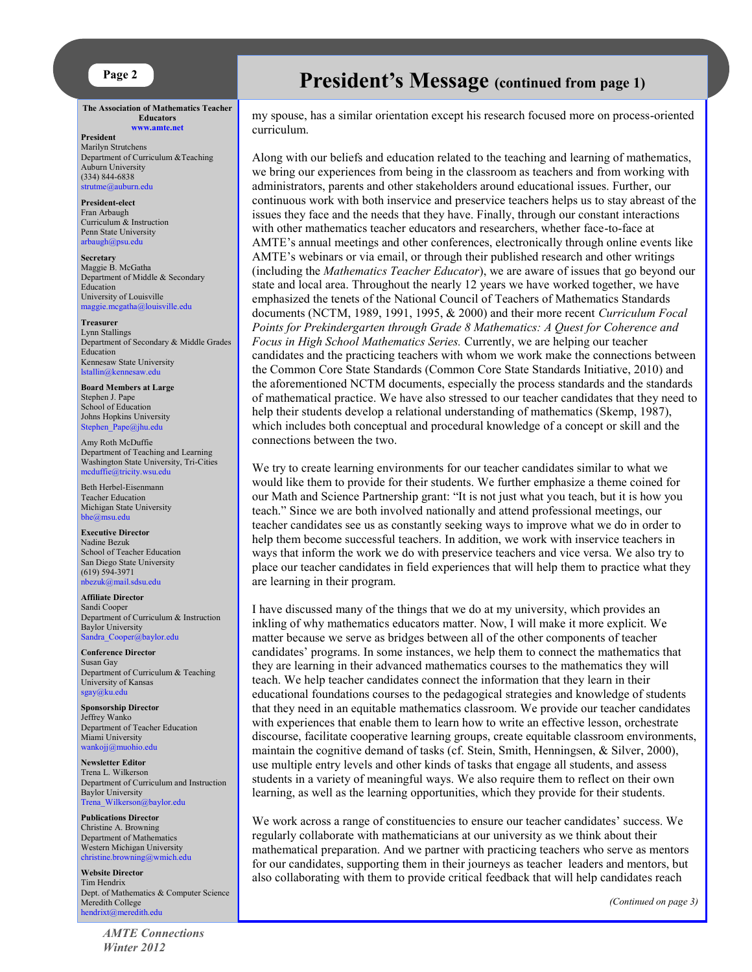

**The Association of Mathematics Teacher Educators [www.amte.net](http://www.amte.net)**

#### **President**

Marilyn Strutchens Department of Curriculum &Teaching Auburn University (334) 844-6838 [strutme@auburn.edu](mailto:strutme@auburn.edu) 

**President-elect** Fran Arbaugh Curriculum & Instruction Penn State University [arbaugh@psu.edu](mailto:arbaugh@psu.edu)

**Secretary** Maggie B. McGatha Department of Middle & Secondary Education University of Louisville [maggie.mcgatha@louisville.edu](mailto:maggie.mcgatha@louisville.edu) 

**Treasurer** Lynn Stallings Department of Secondary & Middle Grades Education Kennesaw State University [lstallin@kennesaw.edu](mailto:lstallin@kennesaw.edu)

**Board Members at Large** Stephen J. Pape School of Education Johns Hopkins University [Stephen\\_Pape@jhu.edu](mailto:Stephen_Pape@jhu.edu)

Amy Roth McDuffie Department of Teaching and Learning Washington State University, Tri-Cities [mcduffie@tricity.wsu.edu](mailto:mcduffie@tricity.wsu.edu)

Beth Herbel-Eisenmann Teacher Education Michigan State University [bhe@msu.edu](mailto:bhe@msu.edu)

**Executive Director** Nadine Bezuk School of Teacher Education San Diego State University (619) 594-3971 [nbezuk@mail.sdsu.edu](mailto:nbezuk@mail.sdsu.edu)

**Affiliate Director** Sandi Cooper Department of Curriculum & Instruction Baylor University [Sandra\\_Cooper@baylor.edu](mailto:Sandra_Cooper@baylor.edu)

**Conference Director** Susan Gay Department of Curriculum & Teaching University of Kansas [sgay@ku.edu](mailto:sgay@ku.edu)

**Sponsorship Director** Jeffrey Wanko Department of Teacher Education Miami University [wankojj@muohio.edu](mailto:wankojj@muohio.edu)

**Newsletter Editor** Trena L. Wilkerson Department of Curriculum and Instruction Baylor University [Trena\\_Wilkerson@baylor.edu](mailto:Trena_Wilkerson@baylor.edu)

**Publications Director** Christine A. Browning Department of Mathematics Western Michigan University [christine.browning@wmich.edu](mailto:christine.browning@wmich.edu)

**Website Director** Tim Hendrix Dept. of Mathematics & Computer Science Meredith College [hendrixt@meredith.edu](mailto:hendrixt@meredith.edu)

> *AMTE Connections Winter 2012*

## **Page 2 President's Message** (continued from page 1)

my spouse, has a similar orientation except his research focused more on process-oriented curriculum.

Along with our beliefs and education related to the teaching and learning of mathematics, we bring our experiences from being in the classroom as teachers and from working with administrators, parents and other stakeholders around educational issues. Further, our continuous work with both inservice and preservice teachers helps us to stay abreast of the issues they face and the needs that they have. Finally, through our constant interactions with other mathematics teacher educators and researchers, whether face-to-face at AMTE's annual meetings and other conferences, electronically through online events like AMTE's webinars or via email, or through their published research and other writings (including the *Mathematics Teacher Educator*), we are aware of issues that go beyond our state and local area. Throughout the nearly 12 years we have worked together, we have emphasized the tenets of the National Council of Teachers of Mathematics Standards documents (NCTM, 1989, 1991, 1995, & 2000) and their more recent *Curriculum Focal Points for Prekindergarten through Grade 8 Mathematics: A Quest for Coherence and Focus in High School Mathematics Series.* Currently, we are helping our teacher candidates and the practicing teachers with whom we work make the connections between the Common Core State Standards (Common Core State Standards Initiative, 2010) and the aforementioned NCTM documents, especially the process standards and the standards of mathematical practice. We have also stressed to our teacher candidates that they need to help their students develop a relational understanding of mathematics (Skemp, 1987), which includes both conceptual and procedural knowledge of a concept or skill and the connections between the two.

We try to create learning environments for our teacher candidates similar to what we would like them to provide for their students. We further emphasize a theme coined for our Math and Science Partnership grant: "It is not just what you teach, but it is how you teach." Since we are both involved nationally and attend professional meetings, our teacher candidates see us as constantly seeking ways to improve what we do in order to help them become successful teachers. In addition, we work with inservice teachers in ways that inform the work we do with preservice teachers and vice versa. We also try to place our teacher candidates in field experiences that will help them to practice what they are learning in their program.

I have discussed many of the things that we do at my university, which provides an inkling of why mathematics educators matter. Now, I will make it more explicit. We matter because we serve as bridges between all of the other components of teacher candidates' programs. In some instances, we help them to connect the mathematics that they are learning in their advanced mathematics courses to the mathematics they will teach. We help teacher candidates connect the information that they learn in their educational foundations courses to the pedagogical strategies and knowledge of students that they need in an equitable mathematics classroom. We provide our teacher candidates with experiences that enable them to learn how to write an effective lesson, orchestrate discourse, facilitate cooperative learning groups, create equitable classroom environments, maintain the cognitive demand of tasks (cf. Stein, Smith, Henningsen, & Silver, 2000), use multiple entry levels and other kinds of tasks that engage all students, and assess students in a variety of meaningful ways. We also require them to reflect on their own learning, as well as the learning opportunities, which they provide for their students.

We work across a range of constituencies to ensure our teacher candidates' success. We regularly collaborate with mathematicians at our university as we think about their mathematical preparation. And we partner with practicing teachers who serve as mentors for our candidates, supporting them in their journeys as teacher leaders and mentors, but also collaborating with them to provide critical feedback that will help candidates reach

*(Continued on page 3)*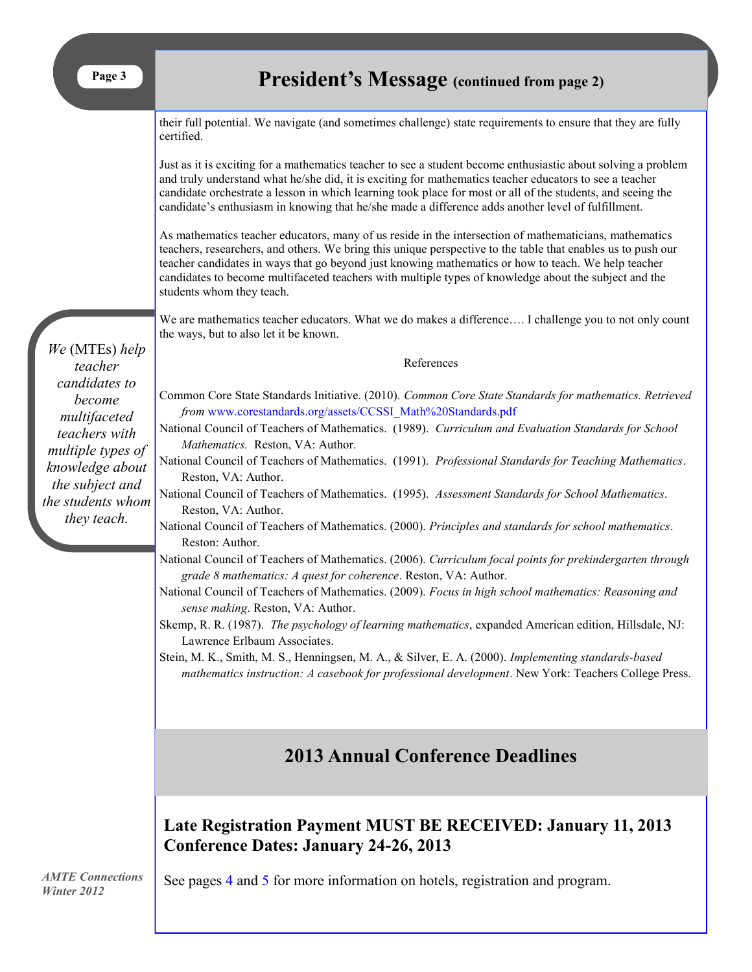their full potential. We navigate (and sometimes challenge) state requirements to ensure that they are fully certified.

Just as it is exciting for a mathematics teacher to see a student become enthusiastic about solving a problem and truly understand what he/she did, it is exciting for mathematics teacher educators to see a teacher candidate orchestrate a lesson in which learning took place for most or all of the students, and seeing the candidate's enthusiasm in knowing that he/she made a difference adds another level of fulfillment.

As mathematics teacher educators, many of us reside in the intersection of mathematicians, mathematics teachers, researchers, and others. We bring this unique perspective to the table that enables us to push our teacher candidates in ways that go beyond just knowing mathematics or how to teach. We help teacher candidates to become multifaceted teachers with multiple types of knowledge about the subject and the students whom they teach.

We are mathematics teacher educators. What we do makes a difference…. I challenge you to not only count the ways, but to also let it be known.

References

Common Core State Standards Initiative. (2010). *Common Core State Standards for mathematics. Retrieved from* [www.](http://www.corestandards.org/assets/CCSSI_Math%20Standards.pdf)corestandards.[org/assets/CCSSI\\_Math%20Standards.pdf](org/assets/CCSSI_Math%20Standards.pdf)

National Council of Teachers of Mathematics. (1989). *Curriculum and Evaluation Standards for School Mathematics.* Reston, VA: Author.

- National Council of Teachers of Mathematics. (1991). *Professional Standards for Teaching Mathematics*. Reston, VA: Author.
- National Council of Teachers of Mathematics. (1995). *Assessment Standards for School Mathematics*. Reston, VA: Author.

National Council of Teachers of Mathematics. (2000). *Principles and standards for school mathematics*. Reston: Author.

- National Council of Teachers of Mathematics. (2006). *Curriculum focal points for prekindergarten through grade 8 mathematics: A quest for coherence*. Reston, VA: Author.
- National Council of Teachers of Mathematics. (2009). *Focus in high school mathematics: Reasoning and sense making*. Reston, VA: Author.
- Skemp, R. R. (1987). *The psychology of learning mathematics*, expanded American edition, Hillsdale, NJ: Lawrence Erlbaum Associates.

Stein, M. K., Smith, M. S., Henningsen, M. A., & Silver, E. A. (2000). *Implementing standards-based mathematics instruction: A casebook for professional development*. New York: Teachers College Press.

## **2013 Annual Conference Deadlines**

**Late Registration Payment MUST BE RECEIVED: January 11, 2013 Conference Dates: January 24-26, 2013**

*AMTE Connections Winter 2012*

See pages [4](#page-3-0) and [5](#page-4-0) for more information on hotels, registration and program.

*We* (MTEs) *help teacher candidates to become multifaceted teachers with multiple types of knowledge about the subject and the students whom they teach.*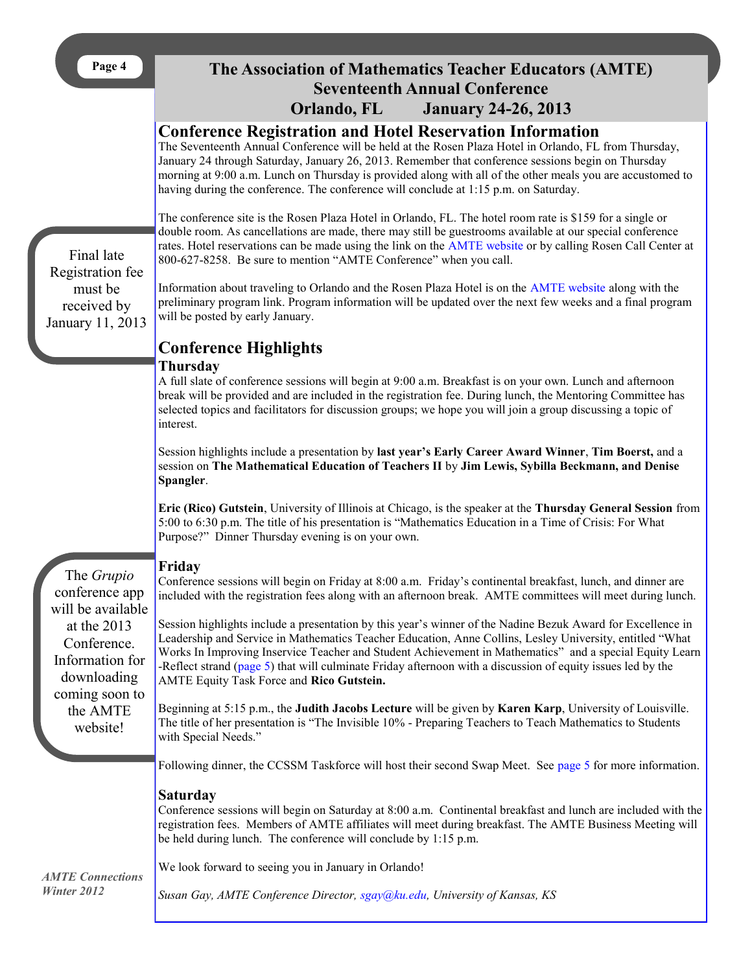<span id="page-3-0"></span>

| <br>r. |  |
|--------|--|
|--------|--|

## **The Association of Mathematics Teacher Educators (AMTE) Seventeenth Annual Conference Orlando, FL January 24-26, 2013**

## **Conference Registration and Hotel Reservation Information**

The Seventeenth Annual Conference will be held at the Rosen Plaza Hotel in Orlando, FL from Thursday, January 24 through Saturday, January 26, 2013. Remember that conference sessions begin on Thursday morning at 9:00 a.m. Lunch on Thursday is provided along with all of the other meals you are accustomed to having during the conference. The conference will conclude at 1:15 p.m. on Saturday.

The conference site is the Rosen Plaza Hotel in Orlando, FL. The hotel room rate is \$159 for a single or double room. As cancellations are made, there may still be guestrooms available at our special conference rates. Hotel reservations can be made using the link on the [AMTE website](http://www.amte.net/conferences/conf2013) or by calling Rosen Call Center at 800-627-8258. Be sure to mention "AMTE Conference" when you call.

Final late Registration fee must be received by January 11, 2013

The *Grupio*

at the 2013 Conference. Information for downloading coming soon to the AMTE website!

Information about traveling to Orlando and the Rosen Plaza Hotel is on the [AMTE website](http://www.amte.net/conferences/conf2013) along with the preliminary program link. Program information will be updated over the next few weeks and a final program will be posted by early January.

# **Conference Highlights**

#### **Thursday**

A full slate of conference sessions will begin at 9:00 a.m. Breakfast is on your own. Lunch and afternoon break will be provided and are included in the registration fee. During lunch, the Mentoring Committee has selected topics and facilitators for discussion groups; we hope you will join a group discussing a topic of interest.

Session highlights include a presentation by **last year's Early Career Award Winner**, **Tim Boerst,** and a session on **The Mathematical Education of Teachers II** by **Jim Lewis, Sybilla Beckmann, and Denise Spangler**.

**Eric (Rico) Gutstein**, University of Illinois at Chicago, is the speaker at the **Thursday General Session** from 5:00 to 6:30 p.m. The title of his presentation is "Mathematics Education in a Time of Crisis: For What Purpose?" Dinner Thursday evening is on your own.

### **Friday**

conference app will be available Conference sessions will begin on Friday at 8:00 a.m. Friday's continental breakfast, lunch, and dinner are included with the registration fees along with an afternoon break. AMTE committees will meet during lunch.

> Session highlights include a presentation by this year's winner of the Nadine Bezuk Award for Excellence in Leadership and Service in Mathematics Teacher Education, Anne Collins, Lesley University, entitled "What Works In Improving Inservice Teacher and Student Achievement in Mathematics" and a special Equity Learn -Reflect strand ([page 5\)](#page-4-0) that will culminate Friday afternoon with a discussion of equity issues led by the AMTE Equity Task Force and **Rico Gutstein.**

Beginning at 5:15 p.m., the **Judith Jacobs Lecture** will be given by **Karen Karp**, University of Louisville. The title of her presentation is "The Invisible 10% - Preparing Teachers to Teach Mathematics to Students with Special Needs."

Following dinner, the CCSSM Taskforce will host their second Swap Meet. See [page 5](#page-4-0) for more information.

#### **Saturday**

Conference sessions will begin on Saturday at 8:00 a.m. Continental breakfast and lunch are included with the registration fees. Members of AMTE affiliates will meet during breakfast. The AMTE Business Meeting will be held during lunch. The conference will conclude by 1:15 p.m.

*AMTE Connections Winter 2012*

We look forward to seeing you in January in Orlando!

*Susan Gay, AMTE Conference Director, [sgay@ku.edu,](mailto:sgay@ku.edu) University of Kansas, KS*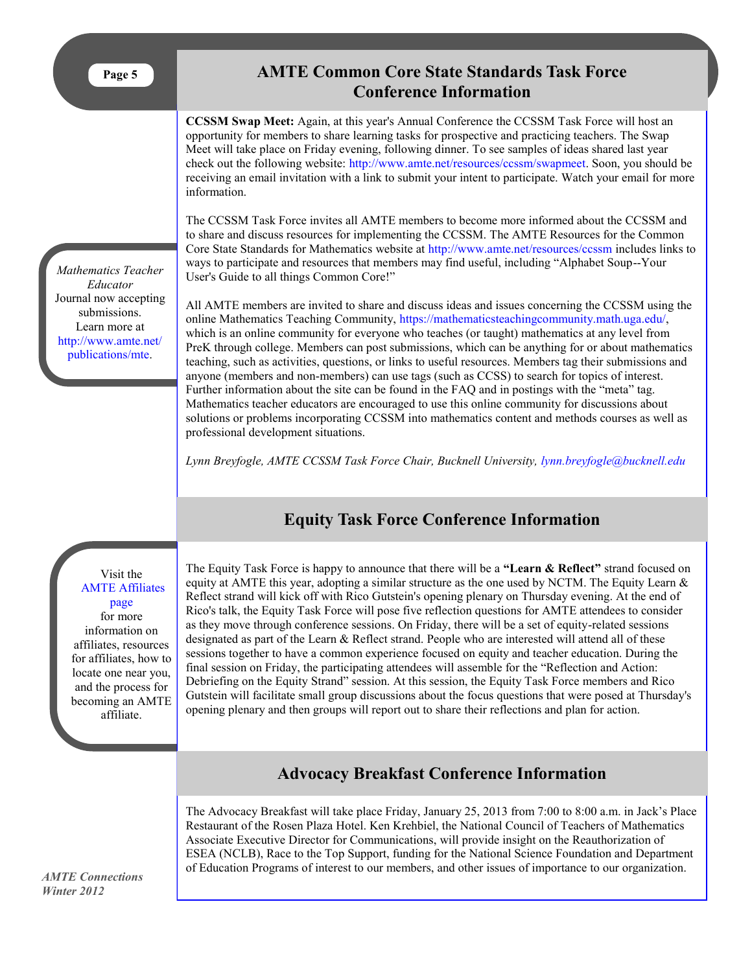<span id="page-4-0"></span>**Page 5**

*Mathematics Teacher Educator*  Journal now accepting submissions. Learn more at [http://www.amte.net/](http://www.amte.net/publications/mte) [publications/mte.](http://www.amte.net/publications/mte)

## **AMTE Common Core State Standards Task Force Conference Information**

**CCSSM Swap Meet:** Again, at this year's Annual Conference the CCSSM Task Force will host an opportunity for members to share learning tasks for prospective and practicing teachers. The Swap Meet will take place on Friday evening, following dinner. To see samples of ideas shared last year check out the following website: [http://www.amte.net/resources/ccssm/swapmeet.](http://www.amte.net/resources/ccssm/swapmeet) Soon, you should be receiving an email invitation with a link to submit your intent to participate. Watch your email for more information.

The CCSSM Task Force invites all AMTE members to become more informed about the CCSSM and to share and discuss resources for implementing the CCSSM. The AMTE Resources for the Common Core State Standards for Mathematics website at <http://www.amte.net/resources/ccssm> includes links to ways to participate and resources that members may find useful, including "Alphabet Soup--Your User's Guide to all things Common Core!"

All AMTE members are invited to share and discuss ideas and issues concerning the CCSSM using the online Mathematics Teaching Community, [https://mathematicsteachingcommunity.math.uga.edu/,](https://mathematicsteachingcommunity.math.uga.edu/)  which is an online community for everyone who teaches (or taught) mathematics at any level from PreK through college. Members can post submissions, which can be anything for or about mathematics teaching, such as activities, questions, or links to useful resources. Members tag their submissions and anyone (members and non-members) can use tags (such as CCSS) to search for topics of interest. Further information about the site can be found in the FAQ and in postings with the "meta" tag. Mathematics teacher educators are encouraged to use this online community for discussions about solutions or problems incorporating CCSSM into mathematics content and methods courses as well as professional development situations.

Lynn Breyfogle, AMTE CCSSM Task Force Chair, Bucknell University, *[lynn.breyfogle@bucknell.edu](mailto:lynn.breyfogle@bucknell.edu)* 

## **Equity Task Force Conference Information**

Visit the [AMTE Affiliates](http://www.amte.net/affiliates)  [page](http://www.amte.net/affiliates)  for more information on affiliates, resources and the process for affiliate.

The Equity Task Force is happy to announce that there will be a **"Learn & Reflect"** strand focused on equity at AMTE this year, adopting a similar structure as the one used by NCTM. The Equity Learn  $\&$ Reflect strand will kick off with Rico Gutstein's opening plenary on Thursday evening. At the end of Rico's talk, the Equity Task Force will pose five reflection questions for AMTE attendees to consider as they move through conference sessions. On Friday, there will be a set of equity-related sessions designated as part of the Learn & Reflect strand. People who are interested will attend all of these sessions together to have a common experience focused on equity and teacher education. During the final session on Friday, the participating attendees will assemble for the "Reflection and Action: Debriefing on the Equity Strand" session. At this session, the Equity Task Force members and Rico Gutstein will facilitate small group discussions about the focus questions that were posed at Thursday's opening plenary and then groups will report out to share their reflections and plan for action.

## **Advocacy Breakfast Conference Information**

The Advocacy Breakfast will take place Friday, January 25, 2013 from 7:00 to 8:00 a.m. in Jack's Place Restaurant of the Rosen Plaza Hotel. Ken Krehbiel, the National Council of Teachers of Mathematics Associate Executive Director for Communications, will provide insight on the Reauthorization of ESEA (NCLB), Race to the Top Support, funding for the National Science Foundation and Department of Education Programs of interest to our members, and other issues of importance to our organization.

for affiliates, how to locate one near you, becoming an AMTE

*AMTE Connections Winter 2012*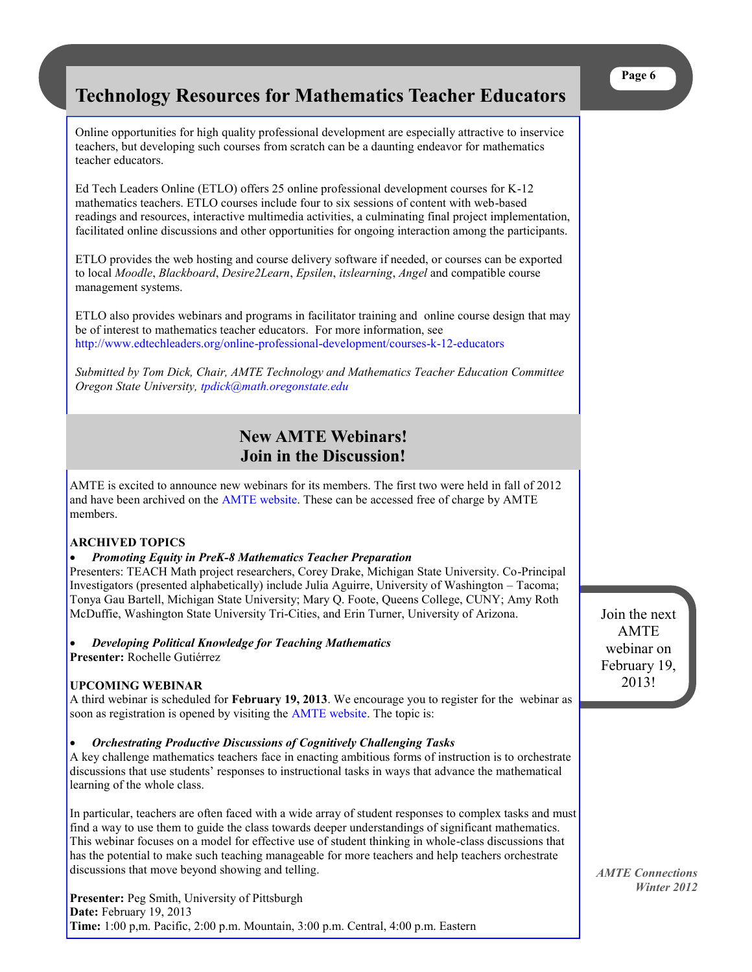## <span id="page-5-0"></span>**Technology Resources for Mathematics Teacher Educators**

Online opportunities for high quality professional development are especially attractive to inservice teachers, but developing such courses from scratch can be a daunting endeavor for mathematics teacher educators.

Ed Tech Leaders Online (ETLO) offers 25 online professional development courses for K-12 mathematics teachers. ETLO courses include four to six sessions of content with web-based readings and resources, interactive multimedia activities, a culminating final project implementation, facilitated online discussions and other opportunities for ongoing interaction among the participants.

ETLO provides the web hosting and course delivery software if needed, or courses can be exported to local *Moodle*, *Blackboard*, *Desire2Learn*, *Epsilen*, *itslearning*, *Angel* and compatible course management systems.

ETLO also provides webinars and programs in facilitator training and online course design that may be of interest to mathematics teacher educators. For more information, see <http://www.edtechleaders.org/online-professional-development/courses-k-12-educators>

*Submitted by Tom Dick, Chair, AMTE Technology and Mathematics Teacher Education Committee Oregon State University, [tpdick@math.oregonstate.edu](mailto:tpdick@math.oregonstate.edu)*

## **New AMTE Webinars! Join in the Discussion!**

AMTE is excited to announce new webinars for its members. The first two were held in fall of 2012 and have been archived on the [AMTE website.](http://www.amte.net) These can be accessed free of charge by AMTE members.

#### **ARCHIVED TOPICS**

#### *Promoting Equity in PreK-8 Mathematics Teacher Preparation*

Presenters: TEACH Math project researchers, Corey Drake, Michigan State University. Co-Principal Investigators (presented alphabetically) include Julia Aguirre, University of Washington – Tacoma; Tonya Gau Bartell, Michigan State University; Mary Q. Foote, Queens College, CUNY; Amy Roth McDuffie, Washington State University Tri-Cities, and Erin Turner, University of Arizona.

#### *Developing Political Knowledge for Teaching Mathematics*

**Presenter:** Rochelle Gutiérrez

#### **UPCOMING WEBINAR**

A third webinar is scheduled for **February 19, 2013**. We encourage you to register for the webinar as soon as registration is opened by visiting the **AMTE** website. The topic is:

#### *Orchestrating Productive Discussions of Cognitively Challenging Tasks*

A key challenge mathematics teachers face in enacting ambitious forms of instruction is to orchestrate discussions that use students' responses to instructional tasks in ways that advance the mathematical learning of the whole class.

In particular, teachers are often faced with a wide array of student responses to complex tasks and must find a way to use them to guide the class towards deeper understandings of significant mathematics. This webinar focuses on a model for effective use of student thinking in whole-class discussions that has the potential to make such teaching manageable for more teachers and help teachers orchestrate discussions that move beyond showing and telling.

**Presenter:** Peg Smith, University of Pittsburgh **Date:** February 19, 2013 **Time:** 1:00 p,m. Pacific, 2:00 p.m. Mountain, 3:00 p.m. Central, 4:00 p.m. Eastern Join the next AMTE webinar on February 19, 2013!

*AMTE Connections Winter 2012*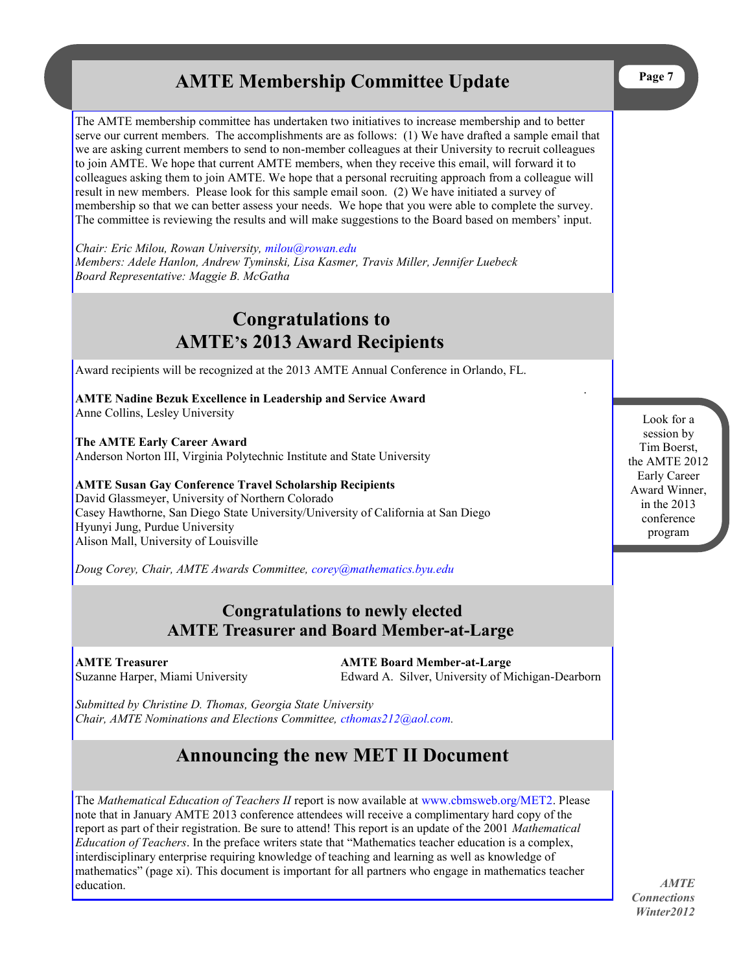## **AMTE Membership Committee Update**

<span id="page-6-0"></span>The AMTE membership committee has undertaken two initiatives to increase membership and to better serve our current members. The accomplishments are as follows: (1) We have drafted a sample email that we are asking current members to send to non-member colleagues at their University to recruit colleagues to join AMTE. We hope that current AMTE members, when they receive this email, will forward it to colleagues asking them to join AMTE. We hope that a personal recruiting approach from a colleague will result in new members. Please look for this sample email soon. (2) We have initiated a survey of membership so that we can better assess your needs. We hope that you were able to complete the survey. The committee is reviewing the results and will make suggestions to the Board based on members' input.

*Chair: Eric Milou, Rowan University, [milou@rowan.edu](mailto:milou@rowan.edu) Members: Adele Hanlon, Andrew Tyminski, Lisa Kasmer, Travis Miller, Jennifer Luebeck Board Representative: Maggie B. McGatha*

## **Congratulations to AMTE's 2013 Award Recipients**

Award recipients will be recognized at the 2013 AMTE Annual Conference in Orlando, FL.

**AMTE Nadine Bezuk Excellence in Leadership and Service Award**  Anne Collins, Lesley University

**The AMTE Early Career Award** Anderson Norton III, Virginia Polytechnic Institute and State University

**AMTE Susan Gay Conference Travel Scholarship Recipients** David Glassmeyer, University of Northern Colorado Casey Hawthorne, San Diego State University/University of California at San Diego Hyunyi Jung, Purdue University Alison Mall, University of Louisville

*Doug Corey, Chair, AMTE Awards Committee, [corey@mathematics.byu.edu](mailto:corey@mathematics.byu.edu)*

## **Congratulations to newly elected AMTE Treasurer and Board Member-at-Large**

**AMTE Treasurer AMTE Board Member-at-Large** Suzanne Harper, Miami University Edward A. Silver, University of Michigan-Dearborn

*Submitted by Christine D. Thomas, Georgia State University Chair, AMTE Nominations and Elections Committee, [cthomas212@aol.com.](mailto:cthomas212@aol.com)* 

## **Announcing the new MET II Document**

The *Mathematical Education of Teachers II* report is now available at [www.cbmsweb.org/MET2.](http://www.cbmsweb.org/MET2) Please note that in January AMTE 2013 conference attendees will receive a complimentary hard copy of the report as part of their registration. Be sure to attend! This report is an update of the 2001 *Mathematical Education of Teachers*. In the preface writers state that "Mathematics teacher education is a complex, interdisciplinary enterprise requiring knowledge of teaching and learning as well as knowledge of mathematics" (page xi). This document is important for all partners who engage in mathematics teacher education.

Look for a session by Tim Boerst, the AMTE 2012 Early Career Award Winner, in the 2013 conference program

.

*AMTE Connections Winter2012*

**Page 7**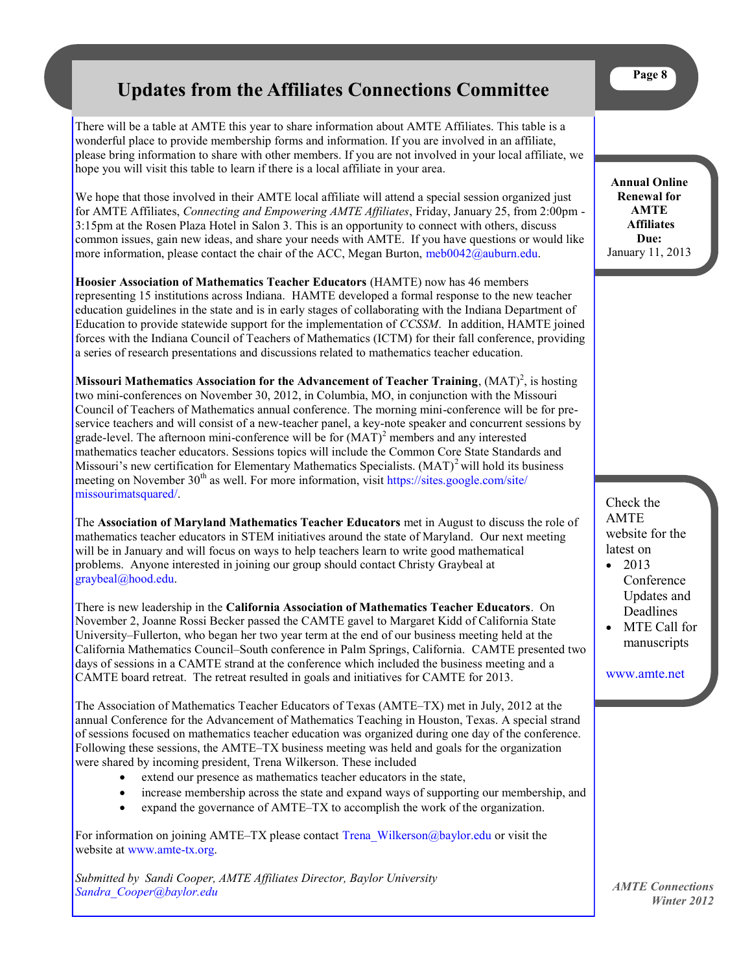## <span id="page-7-0"></span>**Updates from the Affiliates Connections Committee**

There will be a table at AMTE this year to share information about AMTE Affiliates. This table is a wonderful place to provide membership forms and information. If you are involved in an affiliate, please bring information to share with other members. If you are not involved in your local affiliate, we hope you will visit this table to learn if there is a local affiliate in your area.

We hope that those involved in their AMTE local affiliate will attend a special session organized just for AMTE Affiliates, *Connecting and Empowering AMTE Affiliates*, Friday, January 25, from 2:00pm - 3:15pm at the Rosen Plaza Hotel in Salon 3. This is an opportunity to connect with others, discuss common issues, gain new ideas, and share your needs with AMTE. If you have questions or would like more information, please contact the chair of the ACC, Megan Burton, [meb0042@auburn.edu.](mailto:meb0042@auburn.edu)

**Hoosier Association of Mathematics Teacher Educators** (HAMTE) now has 46 members representing 15 institutions across Indiana. HAMTE developed a formal response to the new teacher education guidelines in the state and is in early stages of collaborating with the Indiana Department of Education to provide statewide support for the implementation of *CCSSM*. In addition, HAMTE joined forces with the Indiana Council of Teachers of Mathematics (ICTM) for their fall conference, providing a series of research presentations and discussions related to mathematics teacher education.

**Missouri Mathematics Association for the Advancement of Teacher Training, (MAT)<sup>2</sup>, is hosting** two mini-conferences on November 30, 2012, in Columbia, MO, in conjunction with the Missouri Council of Teachers of Mathematics annual conference. The morning mini-conference will be for preservice teachers and will consist of a new-teacher panel, a key-note speaker and concurrent sessions by grade-level. The afternoon mini-conference will be for  $(MAT)^2$  members and any interested mathematics teacher educators. Sessions topics will include the Common Core State Standards and Missouri's new certification for Elementary Mathematics Specialists.  $(MAT)^2$  will hold its business meeting on November 30<sup>th</sup> as well. For more information, visit [https://sites.google.com/site/](https://sites.google.com/site/missourimatsquared/) [missourimatsquared/.](https://sites.google.com/site/missourimatsquared/)

The **Association of Maryland Mathematics Teacher Educators** met in August to discuss the role of mathematics teacher educators in STEM initiatives around the state of Maryland. Our next meeting will be in January and will focus on ways to help teachers learn to write good mathematical problems. Anyone interested in joining our group should contact Christy Graybeal at [graybeal@hood.edu.](mailto:graybeal@hood.edu)

There is new leadership in the **California Association of Mathematics Teacher Educators**. On November 2, Joanne Rossi Becker passed the CAMTE gavel to Margaret Kidd of California State University–Fullerton, who began her two year term at the end of our business meeting held at the California Mathematics Council‒South conference in Palm Springs, California. CAMTE presented two days of sessions in a CAMTE strand at the conference which included the business meeting and a CAMTE board retreat. The retreat resulted in goals and initiatives for CAMTE for 2013.

The Association of Mathematics Teacher Educators of Texas (AMTE–TX) met in July, 2012 at the annual Conference for the Advancement of Mathematics Teaching in Houston, Texas. A special strand of sessions focused on mathematics teacher education was organized during one day of the conference. Following these sessions, the AMTE–TX business meeting was held and goals for the organization were shared by incoming president, Trena Wilkerson. These included

- extend our presence as mathematics teacher educators in the state,
- increase membership across the state and expand ways of supporting our membership, and
- expand the governance of AMTE–TX to accomplish the work of the organization.

For information on joining AMTE–TX please contact [Trena\\_Wilkerson@baylor.edu](mailto:Trena_Wilkerson@baylor.edu) or visit the website at [www.amte-tx.org.](http://www.amte-tx.org.)

*Submitted by Sandi Cooper, AMTE Affiliates Director, Baylor University [Sandra\\_Cooper@baylor.edu](mailto:Sandra_Cooper@baylor.edu)*

**Annual Online Renewal for AMTE Affiliates Due:** January 11, 2013

Check the AMTE website for the latest on

- $-2013$ Conference Updates and Deadlines
- MTE Call for manuscripts

[www.amte.net](http://www.amte.net)

*AMTE Connections Winter 2012*